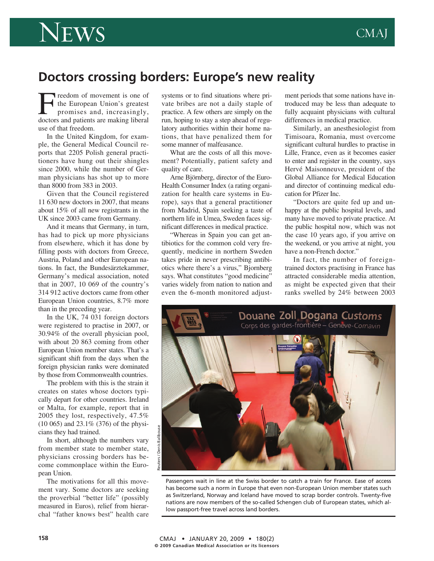

## **Doctors crossing borders: Europe's new reality**

Freedom of movement is one of<br>the European Union's greatest<br>promises and, increasingly,<br>doctors and patients are making liberal the European Union's greatest promises and, increasingly, doctors and patients are making liberal use of that freedom.

In the United Kingdom, for example, the General Medical Council reports that 2205 Polish general practitioners have hung out their shingles since 2000, while the number of German physicians has shot up to more than 8000 from 383 in 2003.

Given that the Council registered 11 630 new doctors in 2007, that means about 15% of all new registrants in the UK since 2003 came from Germany.

And it means that Germany, in turn, has had to pick up more physicians from elsewhere, which it has done by filling posts with doctors from Greece, Austria, Poland and other European nations. In fact, the Bundesärztekammer, Germany's medical association, noted that in 2007, 10 069 of the country's 314 912 active doctors came from other European Union countries, 8.7% more than in the preceding year.

In the UK, 74 031 foreign doctors were registered to practise in 2007, or 30.94% of the overall physician pool, with about 20 863 coming from other European Union member states. That's a significant shift from the days when the foreign physician ranks were dominated by those from Commonwealth countries.

The problem with this is the strain it creates on states whose doctors typically depart for other countries. Ireland or Malta, for example, report that in 2005 they lost, respectively, 47.5% (10 065) and 23.1% (376) of the physicians they had trained.

In short, although the numbers vary from member state to member state, physicians crossing borders has become commonplace within the European Union.

The motivations for all this movement vary. Some doctors are seeking the proverbial "better life" (possibly measured in Euros), relief from hierarchal "father knows best" health care systems or to find situations where private bribes are not a daily staple of practice. A few others are simply on the run, hoping to stay a step ahead of regulatory authorities within their home nations, that have penalized them for some manner of malfeasance.

What are the costs of all this movement? Potentially, patient safety and quality of care.

Arne Björnberg, director of the Euro-Health Consumer Index (a rating organization for health care systems in Europe), says that a general practitioner from Madrid, Spain seeking a taste of northern life in Umea, Sweden faces significant differences in medical practice.

"Whereas in Spain you can get antibiotics for the common cold very frequently, medicine in northern Sweden takes pride in never prescribing antibiotics where there's a virus," Bjornberg says. What constitutes "good medicine" varies widely from nation to nation and even the 6-month monitored adjustment periods that some nations have introduced may be less than adequate to fully acquaint physicians with cultural differences in medical practice.

Similarly, an anesthesiologist from Timisoara, Romania, must overcome significant cultural hurdles to practise in Lille, France, even as it becomes easier to enter and register in the country, says Hervé Maisonneuve, president of the Global Alliance for Medical Education and director of continuing medical education for Pfizer Inc.

"Doctors are quite fed up and unhappy at the public hospital levels, and many have moved to private practice. At the public hospital now, which was not the case 10 years ago, if you arrive on the weekend, or you arrive at night, you have a non-French doctor."

In fact, the number of foreigntrained doctors practising in France has attracted considerable media attention, as might be expected given that their ranks swelled by 24% between 2003



Passengers wait in line at the Swiss border to catch a train for France. Ease of access has become such a norm in Europe that even non-European Union member states such as Switzerland, Norway and Iceland have moved to scrap border controls. Twenty-five nations are now members of the so-called Schengen club of European states, which allow passport-free travel across land borders.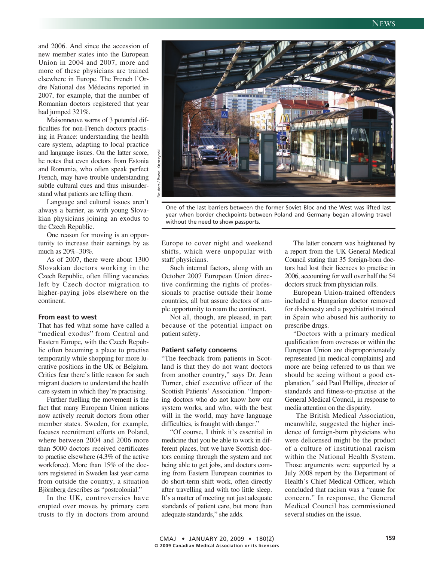and 2006. And since the accession of new member states into the European Union in 2004 and 2007, more and more of these physicians are trained elsewhere in Europe. The French l'Ordre National des Médecins reported in 2007, for example, that the number of Romanian doctors registered that year had jumped 321%.

Maisonneuve warns of 3 potential difficulties for non-French doctors practising in France: understanding the health care system, adapting to local practice and language issues. On the latter score, he notes that even doctors from Estonia and Romania, who often speak perfect French, may have trouble understanding subtle cultural cues and thus misunderstand what patients are telling them.

Language and cultural issues aren't always a barrier, as with young Slovakian physicians joining an exodus to the Czech Republic.

One reason for moving is an opportunity to increase their earnings by as much as 20%–30%.

As of 2007, there were about 1300 Slovakian doctors working in the Czech Republic, often filling vacancies left by Czech doctor migration to higher-paying jobs elsewhere on the continent.

#### **From east to west**

That has fed what some have called a "medical exodus" from Central and Eastern Europe, with the Czech Republic often becoming a place to practise temporarily while shopping for more lucrative positions in the UK or Belgium. Critics fear there's little reason for such migrant doctors to understand the health care system in which they're practising.

Further fuelling the movement is the fact that many European Union nations now actively recruit doctors from other member states. Sweden, for example, focuses recruitment efforts on Poland, where between 2004 and 2006 more than 5000 doctors received certificates to practise elsewhere (4.3% of the active workforce). More than 15% of the doctors registered in Sweden last year came from outside the country, a situation Björnberg describes as "postcolonial."

In the UK, controversies have erupted over moves by primary care trusts to fly in doctors from around



One of the last barriers between the former Soviet Bloc and the West was lifted last year when border checkpoints between Poland and Germany began allowing travel without the need to show passports.

Europe to cover night and weekend shifts, which were unpopular with staff physicians.

Such internal factors, along with an October 2007 European Union directive confirming the rights of professionals to practise outside their home countries, all but assure doctors of ample opportunity to roam the continent.

Not all, though, are pleased, in part because of the potential impact on patient safety.

#### **Patient safety concerns**

"The feedback from patients in Scotland is that they do not want doctors from another country," says Dr. Jean Turner, chief executive officer of the Scottish Patients' Association. "Importing doctors who do not know how our system works, and who, with the best will in the world, may have language difficulties, is fraught with danger."

"Of course, I think it's essential in medicine that you be able to work in different places, but we have Scottish doctors coming through the system and not being able to get jobs, and doctors coming from Eastern European countries to do short-term shift work, often directly after travelling and with too little sleep. It's a matter of meeting not just adequate standards of patient care, but more than adequate standards," she adds.

The latter concern was heightened by a report from the UK General Medical Council stating that 35 foreign-born doctors had lost their licences to practise in 2006, accounting for well over half the 54 doctors struck from physician rolls.

European Union-trained offenders included a Hungarian doctor removed for dishonesty and a psychiatrist trained in Spain who abused his authority to prescribe drugs.

"Doctors with a primary medical qualification from overseas or within the European Union are disproportionately represented [in medical complaints] and more are being referred to us than we should be seeing without a good explanation," said Paul Phillips, director of standards and fitness-to-practise at the General Medical Council, in response to media attention on the disparity.

The British Medical Association, meanwhile, suggested the higher incidence of foreign-born physicians who were delicensed might be the product of a culture of institutional racism within the National Health System. Those arguments were supported by a July 2008 report by the Department of Health's Chief Medical Officer, which concluded that racism was a "cause for concern." In response, the General Medical Council has commissioned several studies on the issue.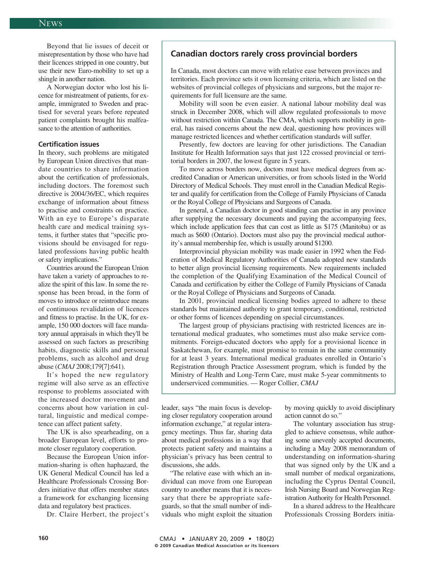Beyond that lie issues of deceit or misrepresentation by those who have had their licences stripped in one country, but use their new Euro-mobility to set up a shingle in another nation.

A Norwegian doctor who lost his licence for mistreatment of patients, for example, immigrated to Sweden and practised for several years before repeated patient complaints brought his malfeasance to the attention of authorities.

#### **Certification issues**

In theory, such problems are mitigated by European Union directives that mandate countries to share information about the certification of professionals, including doctors. The foremost such directive is 2004/36/EC, which requires exchange of information about fitness to practise and constraints on practice. With an eye to Europe's disparate health care and medical training systems, it further states that "specific provisions should be envisaged for regulated professions having public health or safety implications."

Countries around the European Union have taken a variety of approaches to realize the spirit of this law. In some the response has been broad, in the form of moves to introduce or reintroduce means of continuous revalidation of licences and fitness to practise. In the UK, for example, 150 000 doctors will face mandatory annual appraisals in which they'll be assessed on such factors as prescribing habits, diagnostic skills and personal problems, such as alcohol and drug abuse (*CMAJ* 2008;179[7]:641).

It's hoped the new regulatory regime will also serve as an effective response to problems associated with the increased doctor movement and concerns about how variation in cultural, linguistic and medical competence can affect patient safety.

The UK is also spearheading, on a broader European level, efforts to promote closer regulatory cooperation.

Because the European Union information-sharing is often haphazard, the UK General Medical Council has led a Healthcare Professionals Crossing Borders initiative that offers member states a framework for exchanging licensing data and regulatory best practices.

Dr. Claire Herbert, the project's

### **Canadian doctors rarely cross provincial borders**

In Canada, most doctors can move with relative ease between provinces and territories. Each province sets it own licensing criteria, which are listed on the websites of provincial colleges of physicians and surgeons, but the major requirements for full licensure are the same.

Mobility will soon be even easier. A national labour mobility deal was struck in December 2008, which will allow regulated professionals to move without restriction within Canada. The CMA, which supports mobility in general, has raised concerns about the new deal, questioning how provinces will manage restricted licences and whether certification standards will suffer.

Presently, few doctors are leaving for other jurisdictions. The Canadian Institute for Health Information says that just 122 crossed provincial or territorial borders in 2007, the lowest figure in 5 years.

To move across borders now, doctors must have medical degrees from accredited Canadian or American universities, or from schools listed in the World Directory of Medical Schools. They must enroll in the Canadian Medical Register and qualify for certification from the College of Family Physicians of Canada or the Royal College of Physicians and Surgeons of Canada.

In general, a Canadian doctor in good standing can practise in any province after supplying the necessary documents and paying the accompanying fees, which include application fees that can cost as little as \$175 (Manitoba) or as much as \$600 (Ontario). Doctors must also pay the provincial medical authority's annual membership fee, which is usually around \$1200.

Interprovincial physician mobility was made easier in 1992 when the Federation of Medical Regulatory Authorities of Canada adopted new standards to better align provincial licensing requirements. New requirements included the completion of the Qualifying Examination of the Medical Council of Canada and certification by either the College of Family Physicians of Canada or the Royal College of Physicians and Surgeons of Canada.

In 2001, provincial medical licensing bodies agreed to adhere to these standards but maintained authority to grant temporary, conditional, restricted or other forms of licences depending on special circumstances.

The largest group of physicians practising with restricted licences are international medical graduates, who sometimes must also make service commitments. Foreign-educated doctors who apply for a provisional licence in Saskatchewan, for example, must promise to remain in the same community for at least 3 years. International medical graduates enrolled in Ontario's Registration through Practice Assessment program, which is funded by the Ministry of Health and Long-Term Care, must make 5-year commitments to underserviced communities. — Roger Collier, *CMAJ*

leader, says "the main focus is developing closer regulatory cooperation around information exchange," at regular interagency meetings. Thus far, sharing data about medical professions in a way that protects patient safety and maintains a physician's privacy has been central to discussions, she adds.

"The relative ease with which an individual can move from one European country to another means that it is necessary that there be appropriate safeguards, so that the small number of individuals who might exploit the situation

by moving quickly to avoid disciplinary action cannot do so."

The voluntary association has struggled to achieve consensus, while authoring some unevenly accepted documents, including a May 2008 memorandum of understanding on information-sharing that was signed only by the UK and a small number of medical organizations, including the Cyprus Dental Council, Irish Nursing Board and Norwegian Registration Authority for Health Personnel.

In a shared address to the Healthcare Professionals Crossing Borders initia